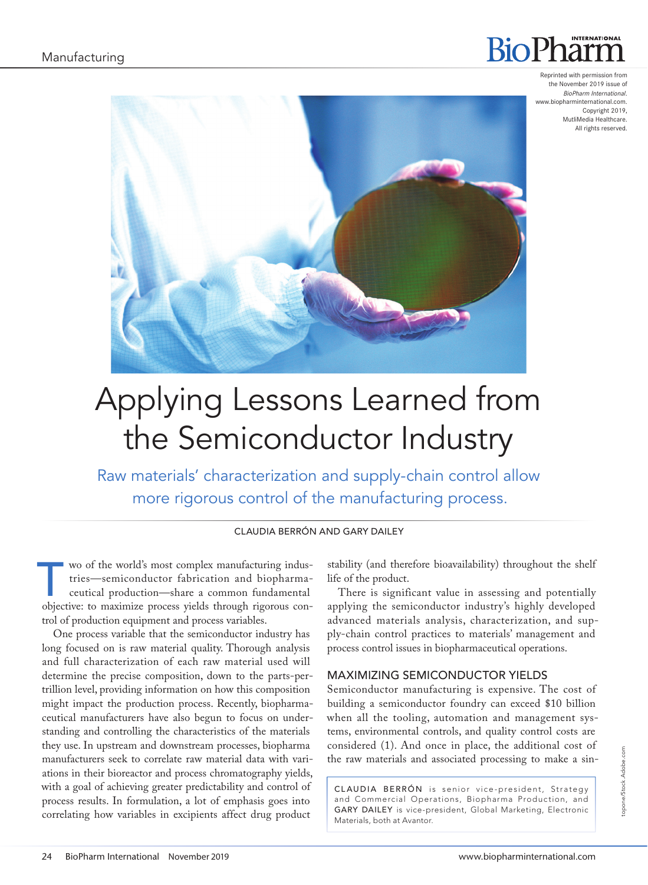# **INTERNATIONAL BioPl**

Reprinted with permission from the November 2019 issue of *BioPharm International*. www.biopharminternational.com. Copyright 2019, MutliMedia Healthcare. All rights reserved.



# Applying Lessons Learned from the Semiconductor Industry

Raw materials' characterization and supply-chain control allow more rigorous control of the manufacturing process.

#### CLAUDIA BERRÓN AND GARY DAILEY

wo of the world's most complex manufacturing indus-<br>tries—semiconductor fabrication and biopharma-<br>ceutical production—share a common fundamental<br>objective: to may mig a process vields through signature contries—semiconductor fabrication and biopharmaceutical production—share a common fundamental objective: to maximize process yields through rigorous control of production equipment and process variables.

One process variable that the semiconductor industry has long focused on is raw material quality. Thorough analysis and full characterization of each raw material used will determine the precise composition, down to the parts-pertrillion level, providing information on how this composition might impact the production process. Recently, biopharmaceutical manufacturers have also begun to focus on understanding and controlling the characteristics of the materials they use. In upstream and downstream processes, biopharma manufacturers seek to correlate raw material data with variations in their bioreactor and process chromatography yields, with a goal of achieving greater predictability and control of process results. In formulation, a lot of emphasis goes into correlating how variables in excipients affect drug product

stability (and therefore bioavailability) throughout the shelf life of the product.

There is significant value in assessing and potentially applying the semiconductor industry's highly developed advanced materials analysis, characterization, and supply-chain control practices to materials' management and process control issues in biopharmaceutical operations.

#### MAXIMIZING SEMICONDUCTOR YIELDS

Semiconductor manufacturing is expensive. The cost of building a semiconductor foundry can exceed \$10 billion when all the tooling, automation and management systems, environmental controls, and quality control costs are considered (1). And once in place, the additional cost of the raw materials and associated processing to make a sin-

CLAUDIA BERRÓN is senior vice-president, Strategy and Commercial Operations, Biopharma Production, and GARY DAILEY is vice-president, Global Marketing, Electronic Materials, both at Avantor.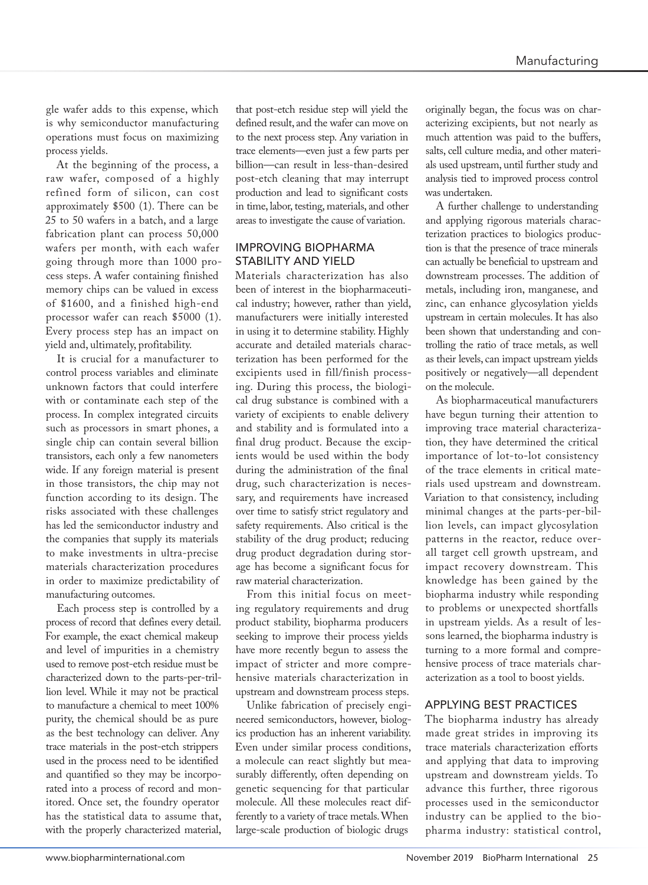gle wafer adds to this expense, which is why semiconductor manufacturing operations must focus on maximizing process yields.

At the beginning of the process, a raw wafer, composed of a highly refined form of silicon, can cost approximately \$500 (1). There can be 25 to 50 wafers in a batch, and a large fabrication plant can process 50,000 wafers per month, with each wafer going through more than 1000 process steps. A wafer containing finished memory chips can be valued in excess of \$1600, and a finished high-end processor wafer can reach \$5000 (1). Every process step has an impact on yield and, ultimately, profitability.

It is crucial for a manufacturer to control process variables and eliminate unknown factors that could interfere with or contaminate each step of the process. In complex integrated circuits such as processors in smart phones, a single chip can contain several billion transistors, each only a few nanometers wide. If any foreign material is present in those transistors, the chip may not function according to its design. The risks associated with these challenges has led the semiconductor industry and the companies that supply its materials to make investments in ultra-precise materials characterization procedures in order to maximize predictability of manufacturing outcomes.

Each process step is controlled by a process of record that defines every detail. For example, the exact chemical makeup and level of impurities in a chemistry used to remove post-etch residue must be characterized down to the parts-per-trillion level. While it may not be practical to manufacture a chemical to meet 100% purity, the chemical should be as pure as the best technology can deliver. Any trace materials in the post-etch strippers used in the process need to be identified and quantified so they may be incorporated into a process of record and monitored. Once set, the foundry operator has the statistical data to assume that, with the properly characterized material,

that post-etch residue step will yield the defined result, and the wafer can move on to the next process step. Any variation in trace elements—even just a few parts per billion—can result in less-than-desired post-etch cleaning that may interrupt production and lead to significant costs in time, labor, testing, materials, and other areas to investigate the cause of variation.

### IMPROVING BIOPHARMA STABILITY AND YIELD

Materials characterization has also been of interest in the biopharmaceutical industry; however, rather than yield, manufacturers were initially interested in using it to determine stability. Highly accurate and detailed materials characterization has been performed for the excipients used in fill/finish processing. During this process, the biological drug substance is combined with a variety of excipients to enable delivery and stability and is formulated into a final drug product. Because the excipients would be used within the body during the administration of the final drug, such characterization is necessary, and requirements have increased over time to satisfy strict regulatory and safety requirements. Also critical is the stability of the drug product; reducing drug product degradation during storage has become a significant focus for raw material characterization.

From this initial focus on meeting regulatory requirements and drug product stability, biopharma producers seeking to improve their process yields have more recently begun to assess the impact of stricter and more comprehensive materials characterization in upstream and downstream process steps.

Unlike fabrication of precisely engineered semiconductors, however, biologics production has an inherent variability. Even under similar process conditions, a molecule can react slightly but measurably differently, often depending on genetic sequencing for that particular molecule. All these molecules react differently to a variety of trace metals. When large-scale production of biologic drugs

originally began, the focus was on characterizing excipients, but not nearly as much attention was paid to the buffers, salts, cell culture media, and other materials used upstream, until further study and analysis tied to improved process control was undertaken.

A further challenge to understanding and applying rigorous materials characterization practices to biologics production is that the presence of trace minerals can actually be beneficial to upstream and downstream processes. The addition of metals, including iron, manganese, and zinc, can enhance glycosylation yields upstream in certain molecules. It has also been shown that understanding and controlling the ratio of trace metals, as well as their levels, can impact upstream yields positively or negatively—all dependent on the molecule.

As biopharmaceutical manufacturers have begun turning their attention to improving trace material characterization, they have determined the critical importance of lot-to-lot consistency of the trace elements in critical materials used upstream and downstream. Variation to that consistency, including minimal changes at the parts-per-billion levels, can impact glycosylation patterns in the reactor, reduce overall target cell growth upstream, and impact recovery downstream. This knowledge has been gained by the biopharma industry while responding to problems or unexpected shortfalls in upstream yields. As a result of lessons learned, the biopharma industry is turning to a more formal and comprehensive process of trace materials characterization as a tool to boost yields.

#### APPLYING BEST PRACTICES

The biopharma industry has already made great strides in improving its trace materials characterization efforts and applying that data to improving upstream and downstream yields. To advance this further, three rigorous processes used in the semiconductor industry can be applied to the biopharma industry: statistical control,